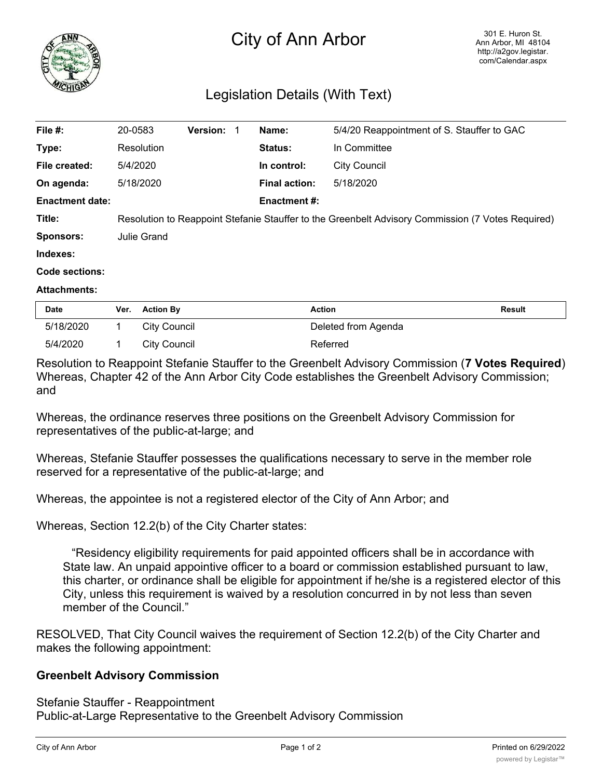

## City of Ann Arbor

## Legislation Details (With Text)

| File #:                | 20-0583                                                                                           | Version: 1 |  | Name:                | 5/4/20 Reappointment of S. Stauffer to GAC |
|------------------------|---------------------------------------------------------------------------------------------------|------------|--|----------------------|--------------------------------------------|
| Type:                  | Resolution                                                                                        |            |  | <b>Status:</b>       | In Committee                               |
| File created:          | 5/4/2020                                                                                          |            |  | In control:          | <b>City Council</b>                        |
| On agenda:             | 5/18/2020                                                                                         |            |  | <b>Final action:</b> | 5/18/2020                                  |
| <b>Enactment date:</b> |                                                                                                   |            |  | <b>Enactment #:</b>  |                                            |
| Title:                 | Resolution to Reappoint Stefanie Stauffer to the Greenbelt Advisory Commission (7 Votes Required) |            |  |                      |                                            |
| <b>Sponsors:</b>       | Julie Grand                                                                                       |            |  |                      |                                            |
| Indexes:               |                                                                                                   |            |  |                      |                                            |
| <b>Code sections:</b>  |                                                                                                   |            |  |                      |                                            |
| <b>Attachments:</b>    |                                                                                                   |            |  |                      |                                            |

| <b>Date</b> | Ver. Action By | Action              | Result |
|-------------|----------------|---------------------|--------|
| 5/18/2020   | City Council   | Deleted from Agenda |        |
| 5/4/2020    | City Council   | Referred            |        |

Resolution to Reappoint Stefanie Stauffer to the Greenbelt Advisory Commission (**7 Votes Required**) Whereas, Chapter 42 of the Ann Arbor City Code establishes the Greenbelt Advisory Commission; and

Whereas, the ordinance reserves three positions on the Greenbelt Advisory Commission for representatives of the public-at-large; and

Whereas, Stefanie Stauffer possesses the qualifications necessary to serve in the member role reserved for a representative of the public-at-large; and

Whereas, the appointee is not a registered elector of the City of Ann Arbor; and

Whereas, Section 12.2(b) of the City Charter states:

"Residency eligibility requirements for paid appointed officers shall be in accordance with State law. An unpaid appointive officer to a board or commission established pursuant to law, this charter, or ordinance shall be eligible for appointment if he/she is a registered elector of this City, unless this requirement is waived by a resolution concurred in by not less than seven member of the Council."

RESOLVED, That City Council waives the requirement of Section 12.2(b) of the City Charter and makes the following appointment:

## **Greenbelt Advisory Commission**

Stefanie Stauffer - Reappointment Public-at-Large Representative to the Greenbelt Advisory Commission